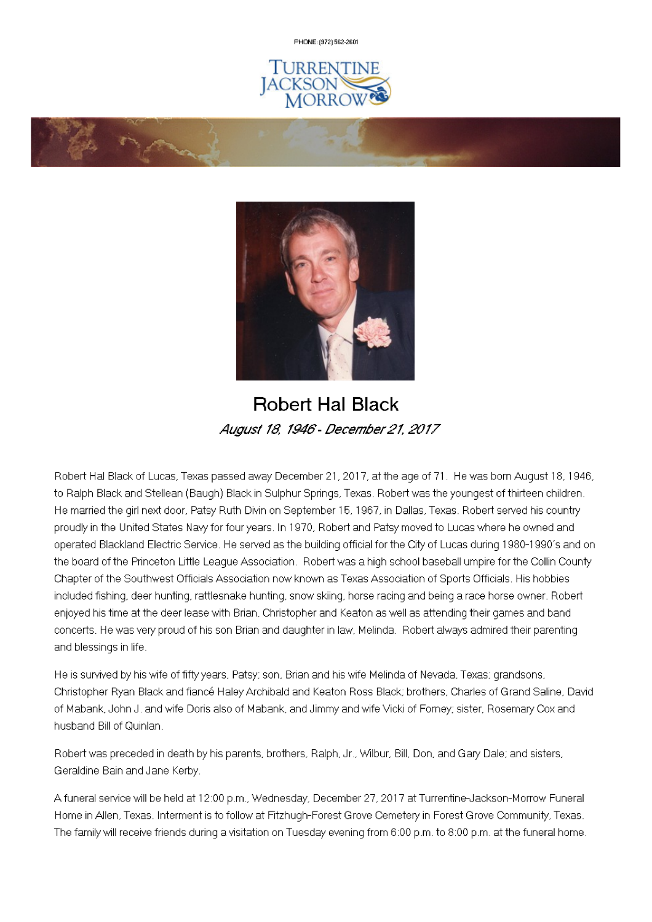PHONE: (972) 562-2601





# **Robert Hal Black** August 18, 1946 - December 21, 2017

Robert Hal Black of Lucas, Texas passed away December 21, 2017, at the age of 71. He was born August 18, 1946, to Ralph Black and Stellean (Baugh) Black in Sulphur Springs, Texas. Robert was the youngest of thirteen children. He married the girl next door, Patsy Ruth Divin on September 15, 1967, in Dallas, Texas. Robert served his country proudly in the United States Navy for four years. In 1970, Robert and Patsy moved to Lucas where he owned and operated Blackland Electric Service. He served as the building official for the City of Lucas during 1980-1990's and on the board of the Princeton Little League Association. Robert was a high school baseball umpire for the Collin County Chapter of the Southwest Officials Association now known as Texas Association of Sports Officials. His hobbies included fishing, deer hunting, rattlesnake hunting, snow skiing, horse racing and being a race horse owner. Robert enjoyed his time at the deer lease with Brian, Christopher and Keaton as well as attending their games and band concerts. He was very proud of his son Brian and daughter in law, Melinda. Robert always admired their parenting and blessings in life.

He is survived by his wife of fifty years, Patsy; son, Brian and his wife Melinda of Nevada, Texas; grandsons, Christopher Ryan Black and fiancé Haley Archibald and Keaton Ross Black; brothers, Charles of Grand Saline, David of Mabank, John J. and wife Doris also of Mabank, and Jimmy and wife Vicki of Forney; sister, Rosemary Cox and husband Bill of Quinlan.

Robert was preceded in death by his parents, brothers, Ralph, Jr., Wilbur, Bill, Don, and Gary Dale; and sisters, Geraldine Bain and Jane Kerby.

A funeral service will be held at 12:00 p.m., Wednesday, December 27, 2017 at Turrentine-Jackson-Morrow Funeral Home in Allen, Texas. Interment is to follow at Fitzhugh-Forest Grove Cemetery in Forest Grove Community, Texas. The family will receive friends during a visitation on Tuesday evening from 6:00 p.m. to 8:00 p.m. at the funeral home.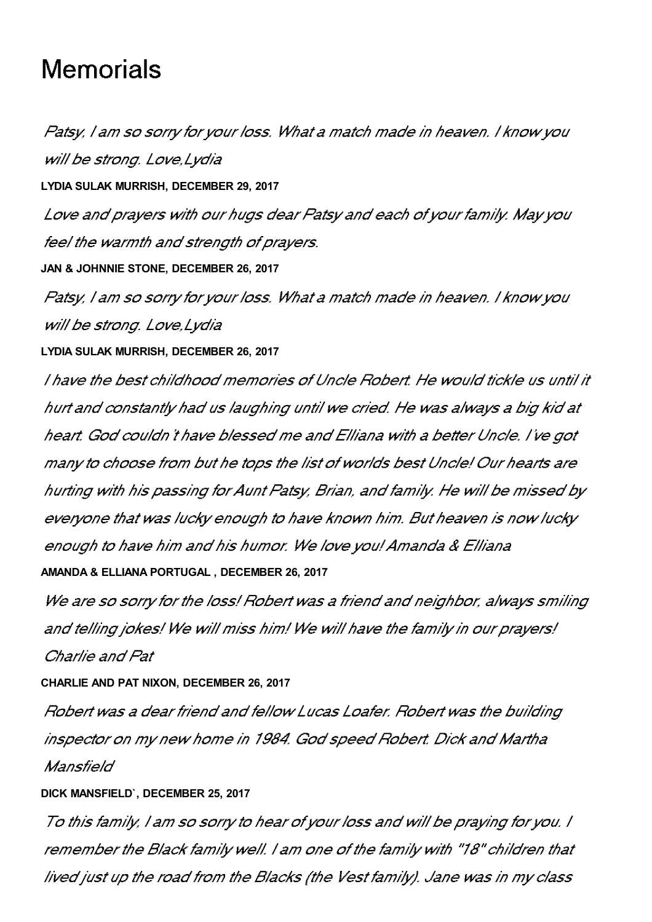# **Memorials**

Patsy, I am so sorry for your loss. What a match made in heaven. I know you will be strong. Love Lydia **LYDIA SULAK MURRISH, DECEMBER 29, 2017** Love and prayers with our hugs dear Patsy and each of your family. May you feel the warmth and strength of prayers. **JAN & JOHNNIE STONE, DECEMBER 26, 2017** Patsy, I am so sorry for your loss. What a match made in heaven. I know you will be strong. Love, Lydia **LYDIA SULAK MURRISH, DECEMBER 26, 2017** I have the best childhood memories of Uncle Robert. He would tickle us until it hurt and constantly had us laughing until we cried. He was always a big kid at heart. God couldn't have blessed me and Elliana with a better Uncle. I've got many to choose from but he tops the list of worlds best Uncle! Our hearts are hurting with his passing for Aunt Patsy, Brian, and family. He will be missed by everyone that was lucky enough to have known him. But heaven is now lucky enough to have him and his humor. We love you! Amanda & Elliana **AMANDA & ELLIANA PORTUGAL , DECEMBER 26, 2017** We are so sorry for the loss! Robert was a friend and neighbor, always smiling

and telling jokes! We will miss him! We will have the family in our prayers! Charlie and Pat

#### **CHARLIE AND PAT NIXON, DECEMBER 26, 2017**

Robert was a dear friend and fellow Lucas Loafer. Robert was the building inspector on my new home in 1984. God speed Robert. Dick and Martha Mansfield

#### **DICK MANSFIELD`, DECEMBER 25, 2017**

To this family, I am so sorry to hear of your loss and will be praying for you. I remember the Black family well. I am one of the family with "18" children that lived just up the road from the Blacks (the Vest family). Jane was in my class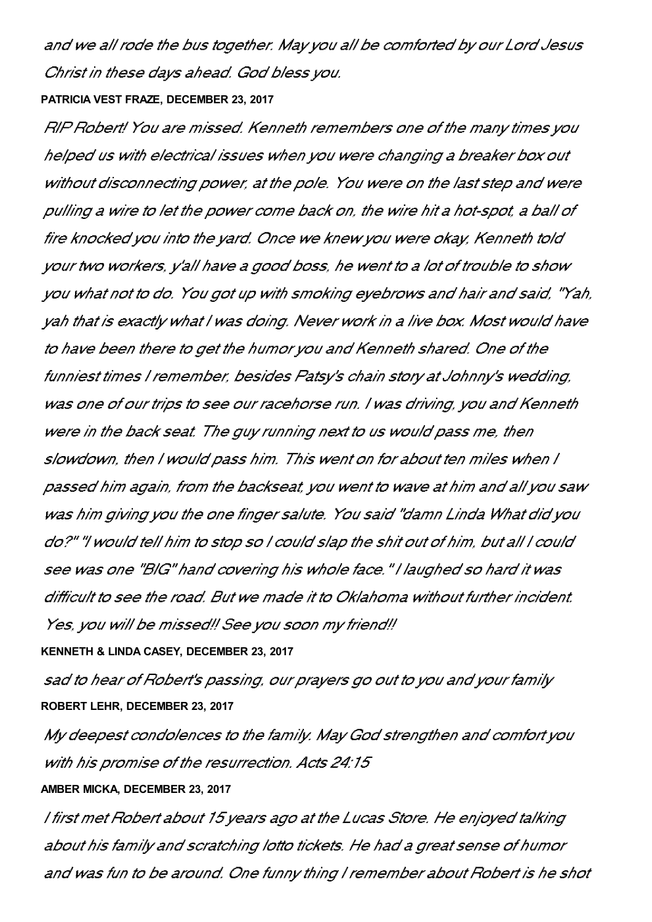and we all rode the bus together. May you all be comforted by our Lord Jesus Christ in these days ahead. God bless you.

#### **PATRICIA VEST FRAZE, DECEMBER 23, 2017**

RIP Robert! You are missed. Kenneth remembers one of the many times you helped us with electrical issues when you were changing a breaker box out without disconnecting power, at the pole. You were on the last step and were pulling a wire to let the power come back on, the wire hit a hot-spot, a ball of fire knocked you into the yard. Once we knew you were okay, Kenneth told your two workers, y'all have a good boss, he went to a lot of trouble to show you what not to do. You got up with smoking eyebrows and hair and said, "Yah, yah that is exactly what I was doing. Never work in a live box. Most would have to have been there to get the humor you and Kenneth shared. One of the funniest times I remember, besides Patsy's chain story at Johnny's wedding, was one of our trips to see our racehorse run. I was driving, you and Kenneth were in the back seat. The guy running next to us would pass me, then slowdown, then I would pass him. This went on for about ten miles when I passed him again, from the backseat, you went to wave at him and all you saw was him giving you the one finger salute. You said "damn Linda What did you do?" "I would tell him to stop so I could slap the shit out of him, but all I could see was one "BIG" hand covering his whole face. "I laughed so hard it was difficult to see the road. But we made it to Oklahoma without further incident. Yes, you will be missed!! See you soon my friend!!

## **KENNETH & LINDA CASEY, DECEMBER 23, 2017**

sad to hear of Robert's passing, our prayers go out to you and your family **ROBERT LEHR, DECEMBER 23, 2017**

My deepest condolences to the family. May God strengthen and comfort you with his promise of the resurrection. Acts 24:15

## **AMBER MICKA, DECEMBER 23, 2017**

I first met Robert about 15 years ago at the Lucas Store. He enjoyed talking about his family and scratching lotto tickets. He had a great sense of humor and was fun to be around. One funny thing I remember about Robert is he shot